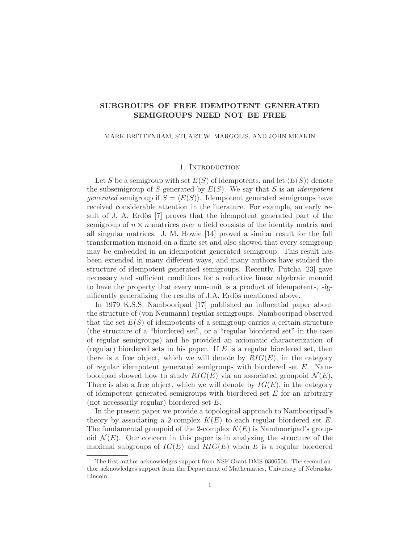# SUBGROUPS OF FREE IDEMPOTENT GENERATED SEMIGROUPS NEED NOT BE FREE

### MARK BRITTENHAM, STUART W. MARGOLIS, AND JOHN MEAKIN

#### 1. Introduction

Let S be a semigroup with set  $E(S)$  of idempotents, and let  $\langle E(S) \rangle$  denote the subsemigroup of S generated by  $E(S)$ . We say that S is an *idempotent* generated semigroup if  $S = \langle E(S) \rangle$ . Idempotent generated semigroups have received considerable attention in the literature. For example, an early result of J. A. Erdös  $[7]$  proves that the idempotent generated part of the semigroup of  $n \times n$  matrices over a field consists of the identity matrix and all singular matrices. J. M. Howie [14] proved a similar result for the full transformation monoid on a finite set and also showed that every semigroup may be embedded in an idempotent generated semigroup. This result has been extended in many different ways, and many authors have studied the structure of idempotent generated semigroups. Recently, Putcha [23] gave necessary and sufficient conditions for a reductive linear algebraic monoid to have the property that every non-unit is a product of idempotents, significantly generalizing the results of J.A. Erdös mentioned above.

In 1979 K.S.S. Nambooripad [17] published an influential paper about the structure of (von Neumann) regular semigroups. Nambooripad observed that the set  $E(S)$  of idempotents of a semigroup carries a certain structure (the structure of a "biordered set", or a "regular biordered set" in the case of regular semigroups) and he provided an axiomatic characterization of (regular) biordered sets in his paper. If  $E$  is a regular biordered set, then there is a free object, which we will denote by  $RIG(E)$ , in the category of regular idempotent generated semigroups with biordered set  $E$ . Nambooripad showed how to study  $RIG(E)$  via an associated groupoid  $\mathcal{N}(E)$ . There is also a free object, which we will denote by  $IG(E)$ , in the category of idempotent generated semigroups with biordered set  $E$  for an arbitrary (not necessarily regular) biordered set E.

In the present paper we provide a topological approach to Nambooripad's theory by associating a 2-complex  $K(E)$  to each regular biordered set E. The fundamental groupoid of the 2-complex  $K(E)$  is Nambooripad's groupoid  $\mathcal{N}(E)$ . Our concern in this paper is in analyzing the structure of the maximal subgroups of  $IG(E)$  and  $RIG(E)$  when E is a regular biordered

The first author acknowledges support from NSF Grant DMS-0306506. The second author acknowledges support from the Department of Mathematics, University of Nebraska-Lincoln.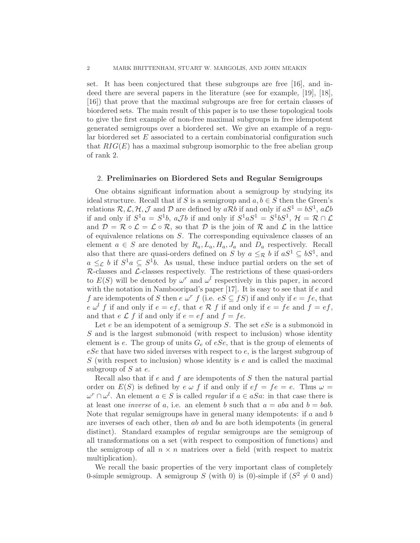set. It has been conjectured that these subgroups are free [16], and indeed there are several papers in the literature (see for example, [19], [18], [16]) that prove that the maximal subgroups are free for certain classes of biordered sets. The main result of this paper is to use these topological tools to give the first example of non-free maximal subgroups in free idempotent generated semigroups over a biordered set. We give an example of a regular biordered set E associated to a certain combinatorial configuration such that  $RIG(E)$  has a maximal subgroup isomorphic to the free abelian group of rank 2.

### 2. Preliminaries on Biordered Sets and Regular Semigroups

One obtains significant information about a semigroup by studying its ideal structure. Recall that if S is a semigroup and  $a, b \in S$  then the Green's relations  $\mathcal{R}, \mathcal{L}, \mathcal{H}, \mathcal{J}$  and  $\mathcal{D}$  are defined by  $a\mathcal{R}b$  if and only if  $aS^1 = bS^1$ ,  $a\mathcal{L}b$ if and only if  $S^1a = S^1b$ ,  $a\mathcal{J}b$  if and only if  $S^1aS^1 = S^1bS^1$ ,  $\mathcal{H} = \mathcal{R} \cap \mathcal{L}$ and  $\mathcal{D} = \mathcal{R} \circ \mathcal{L} = \mathcal{L} \circ \mathcal{R}$ , so that  $\mathcal{D}$  is the join of  $\mathcal{R}$  and  $\mathcal{L}$  in the lattice of equivalence relations on S. The corresponding equivalence classes of an element  $a \in S$  are denoted by  $R_a, L_a, H_a, J_a$  and  $D_a$  respectively. Recall also that there are quasi-orders defined on S by  $a \leq_{\mathcal{R}} b$  if  $aS^1 \subseteq bS^1$ , and  $a \leq_{\mathcal{L}} b$  if  $S^1a \subseteq S^1b$ . As usual, these induce partial orders on the set of  $R$ -classes and  $L$ -classes respectively. The restrictions of these quasi-orders to  $E(S)$  will be denoted by  $\omega^r$  and  $\omega^l$  respectively in this paper, in accord with the notation in Nambooripad's paper [17]. It is easy to see that if e and f are idempotents of S then  $e \omega^r$  f (i.e.  $eS \subseteq fS$ ) if and only if  $e = fe$ , that  $e \omega^l f$  if and only if  $e = ef$ , that  $e \mathcal{R} f$  if and only if  $e = fe$  and  $f = ef$ , and that  $e \mathcal{L} f$  if and only if  $e = ef$  and  $f = fe$ .

Let  $e$  be an idempotent of a semigroup S. The set  $eSe$  is a submonoid in S and is the largest submonoid (with respect to inclusion) whose identity element is e. The group of units  $G_e$  of eSe, that is the group of elements of  $eSe$  that have two sided inverses with respect to  $e$ , is the largest subgroup of  $S$  (with respect to inclusion) whose identity is  $e$  and is called the maximal subgroup of  $S$  at  $e$ .

Recall also that if e and f are idempotents of S then the natural partial order on  $E(S)$  is defined by  $e \omega f$  if and only if  $ef = fe = e$ . Thus  $\omega =$  $\omega^r \cap \omega^l$ . An element  $a \in S$  is called *regular* if  $a \in aSa$ : in that case there is at least one *inverse* of a, i.e. an element b such that  $a = aba$  and  $b = bab$ . Note that regular semigroups have in general many idempotents: if  $a$  and  $b$ are inverses of each other, then ab and ba are both idempotents (in general distinct). Standard examples of regular semigroups are the semigroup of all transformations on a set (with respect to composition of functions) and the semigroup of all  $n \times n$  matrices over a field (with respect to matrix multiplication).

We recall the basic properties of the very important class of completely 0-simple semigroup. A semigroup S (with 0) is (0)-simple if  $(S^2 \neq 0 \text{ and})$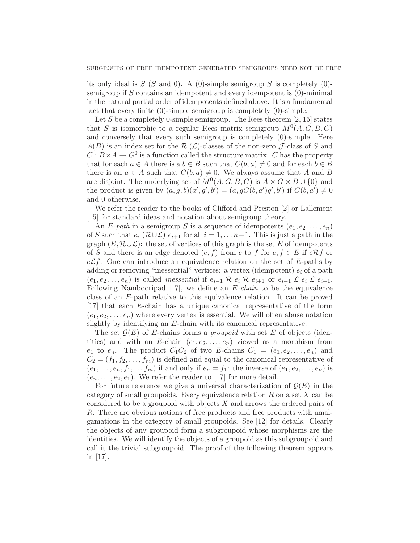its only ideal is  $S(S \text{ and } 0)$ . A (0)-simple semigroup S is completely (0)semigroup if S contains an idempotent and every idempotent is (0)-minimal in the natural partial order of idempotents defined above. It is a fundamental fact that every finite (0)-simple semigroup is completely (0)-simple.

Let S be a completely 0-simple semigroup. The Rees theorem  $[2, 15]$  states that S is isomorphic to a regular Rees matrix semigroup  $M^0(A, G, B, C)$ and conversely that every such semigroup is completely (0)-simple. Here  $A(B)$  is an index set for the R  $(\mathcal{L})$ -classes of the non-zero J-class of S and  $C: B \times A \to G^0$  is a function called the structure matrix. C has the property that for each  $a \in A$  there is a  $b \in B$  such that  $C(b, a) \neq 0$  and for each  $b \in B$ there is an  $a \in A$  such that  $C(b, a) \neq 0$ . We always assume that A and B are disjoint. The underlying set of  $M^0(A, G, B, C)$  is  $A \times G \times B \cup \{0\}$  and the product is given by  $(a, g, b)(a', g', b') = (a, gC(b, a')g', b')$  if  $C(b, a') \neq 0$ and 0 otherwise.

We refer the reader to the books of Clifford and Preston [2] or Lallement [15] for standard ideas and notation about semigroup theory.

An E-path in a semigroup S is a sequence of idempotents  $(e_1, e_2, \ldots, e_n)$ of S such that  $e_i$  ( $\mathcal{R}\cup\mathcal{L}$ )  $e_{i+1}$  for all  $i=1,\ldots n-1$ . This is just a path in the graph  $(E, \mathcal{R} \cup \mathcal{L})$ : the set of vertices of this graph is the set E of idempotents of S and there is an edge denoted  $(e, f)$  from e to f for  $e, f \in E$  if  $e \mathcal{R} f$  or  $e\mathcal{L}f$ . One can introduce an equivalence relation on the set of E-paths by adding or removing "inessential" vertices: a vertex (idempotent)  $e_i$  of a path  $(e_1, e_2, \ldots, e_n)$  is called *inessential* if  $e_{i-1} \otimes e_i \otimes e_{i+1}$  or  $e_{i-1} \otimes e_i \otimes e_{i+1}$ . Following Nambooripad [17], we define an  $E$ -chain to be the equivalence class of an E-path relative to this equivalence relation. It can be proved [17] that each E-chain has a unique canonical representative of the form  $(e_1, e_2, \ldots, e_n)$  where every vertex is essential. We will often abuse notation slightly by identifying an E-chain with its canonical representative.

The set  $\mathcal{G}(E)$  of E-chains forms a *groupoid* with set E of objects (identities) and with an E-chain  $(e_1, e_2, \ldots, e_n)$  viewed as a morphism from  $e_1$  to  $e_n$ . The product  $C_1C_2$  of two E-chains  $C_1 = (e_1, e_2, \ldots, e_n)$  and  $C_2 = (f_1, f_2, \ldots, f_m)$  is defined and equal to the canonical representative of  $(e_1, \ldots, e_n, f_1, \ldots, f_m)$  if and only if  $e_n = f_1$ : the inverse of  $(e_1, e_2, \ldots, e_n)$  is  $(e_n, \ldots, e_2, e_1)$ . We refer the reader to [17] for more detail.

For future reference we give a universal characterization of  $\mathcal{G}(E)$  in the category of small groupoids. Every equivalence relation  $R$  on a set  $X$  can be considered to be a groupoid with objects  $X$  and arrows the ordered pairs of R. There are obvious notions of free products and free products with amalgamations in the category of small groupoids. See [12] for details. Clearly the objects of any groupoid form a subgroupoid whose morphisms are the identities. We will identify the objects of a groupoid as this subgroupoid and call it the trivial subgroupoid. The proof of the following theorem appears in [17].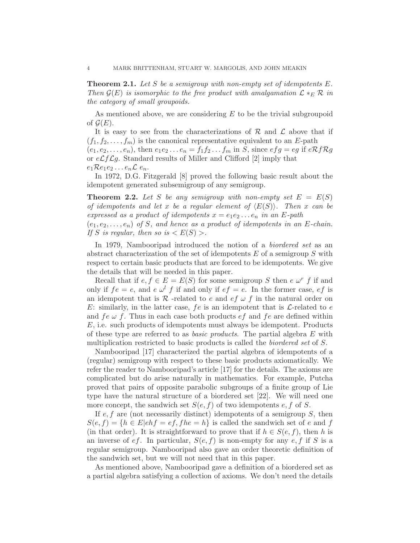**Theorem 2.1.** Let  $S$  be a semigroup with non-empty set of idempotents  $E$ . Then  $\mathcal{G}(E)$  is isomorphic to the free product with amalgamation  $\mathcal{L} *_{E} \mathcal{R}$  in the category of small groupoids.

As mentioned above, we are considering  $E$  to be the trivial subgroupoid of  $\mathcal{G}(E)$ .

It is easy to see from the characterizations of  $\mathcal R$  and  $\mathcal L$  above that if  $(f_1, f_2, \ldots, f_m)$  is the canonical representative equivalent to an E-path  $(e_1, e_2, \ldots, e_n)$ , then  $e_1e_2 \ldots e_n = f_1f_2 \ldots f_m$  in S, since  $efg = eg$  if  $eRfRg$ or  $e\mathcal{L}f\mathcal{L}g$ . Standard results of Miller and Clifford [2] imply that  $e_1 \mathcal{R} e_1 e_2 \ldots e_n \mathcal{L} e_n$ .

In 1972, D.G. Fitzgerald [8] proved the following basic result about the idempotent generated subsemigroup of any semigroup.

**Theorem 2.2.** Let S be any semigroup with non-empty set  $E = E(S)$ of idempotents and let x be a regular element of  $\langle E(S) \rangle$ . Then x can be expressed as a product of idempotents  $x = e_1e_2 \ldots e_n$  in an E-path  $(e_1, e_2, \ldots, e_n)$  of S, and hence as a product of idempotents in an E-chain.

If S is regular, then so is  $\langle E(S) \rangle$ .

In 1979, Nambooripad introduced the notion of a biordered set as an abstract characterization of the set of idempotents  $E$  of a semigroup  $S$  with respect to certain basic products that are forced to be idempotents. We give the details that will be needed in this paper.

Recall that if  $e, f \in E = E(S)$  for some semigroup S then  $e \omega^r f$  if and only if  $fe = e$ , and  $e \omega^l f$  if and only if  $ef = e$ . In the former case,  $ef$  is an idempotent that is R -related to e and  $ef \omega f$  in the natural order on E: similarly, in the latter case,  $fe$  is an idempotent that is  $\mathcal{L}\text{-related to } e$ and  $fe \omega f$ . Thus in each case both products  $ef$  and  $fe$  are defined within E, i.e. such products of idempotents must always be idempotent. Products of these type are referred to as *basic products*. The partial algebra  $E$  with multiplication restricted to basic products is called the biordered set of S.

Nambooripad [17] characterized the partial algebra of idempotents of a (regular) semigroup with respect to these basic products axiomatically. We refer the reader to Nambooripad's article [17] for the details. The axioms are complicated but do arise naturally in mathematics. For example, Putcha proved that pairs of opposite parabolic subgroups of a finite group of Lie type have the natural structure of a biordered set [22]. We will need one more concept, the sandwich set  $S(e, f)$  of two idempotents e, f of S.

If  $e, f$  are (not necessarily distinct) idempotents of a semigroup  $S$ , then  $S(e, f) = \{h \in E | e hf = ef, f h e = h\}$  is called the sandwich set of e and f (in that order). It is straightforward to prove that if  $h \in S(e, f)$ , then h is an inverse of ef. In particular,  $S(e, f)$  is non-empty for any e, f if S is a regular semigroup. Nambooripad also gave an order theoretic definition of the sandwich set, but we will not need that in this paper.

As mentioned above, Nambooripad gave a definition of a biordered set as a partial algebra satisfying a collection of axioms. We don't need the details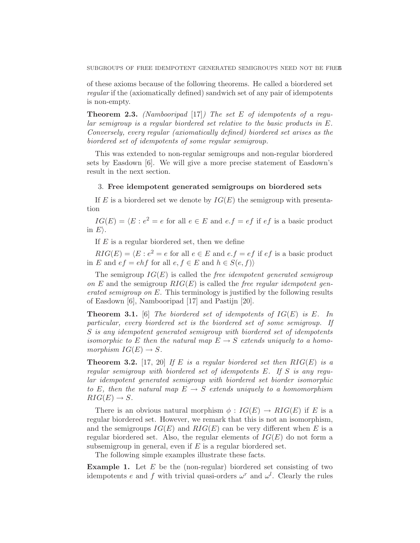SUBGROUPS OF FREE IDEMPOTENT GENERATED SEMIGROUPS NEED NOT BE FREE

of these axioms because of the following theorems. He called a biordered set regular if the (axiomatically defined) sandwich set of any pair of idempotents is non-empty.

**Theorem 2.3.** (Nambooripad [17]) The set E of idempotents of a reqular semigroup is a regular biordered set relative to the basic products in E. Conversely, every regular (axiomatically defined) biordered set arises as the biordered set of idempotents of some regular semigroup.

This was extended to non-regular semigroups and non-regular biordered sets by Easdown [6]. We will give a more precise statement of Easdown's result in the next section.

#### 3. Free idempotent generated semigroups on biordered sets

If E is a biordered set we denote by  $IG(E)$  the semigroup with presentation

 $IG(E) = \langle E : e^2 = e \text{ for all } e \in E \text{ and } e.f = ef \text{ if } ef \text{ is a basic product}$ in  $E$ ).

If  $E$  is a regular biordered set, then we define

 $RIG(E) = \langle E : e^2 = e \text{ for all } e \in E \text{ and } e.f = ef \text{ if } ef \text{ is a basic product}$ in E and  $ef = ehf$  for all  $e, f \in E$  and  $h \in S(e, f)$ 

The semigroup  $IG(E)$  is called the *free idempotent generated semigroup* on E and the semigroup  $RIG(E)$  is called the free regular idempotent generated semigroup on E. This terminology is justified by the following results of Easdown [6], Nambooripad [17] and Pastijn [20].

**Theorem 3.1.** [6] The biordered set of idempotents of  $IG(E)$  is E. In particular, every biordered set is the biordered set of some semigroup. If S is any idempotent generated semigroup with biordered set of idempotents isomorphic to E then the natural map  $E \to S$  extends uniquely to a homomorphism  $IG(E) \rightarrow S$ .

**Theorem 3.2.** [17, 20] If E is a regular biordered set then  $RIG(E)$  is a regular semigroup with biordered set of idempotents E. If S is any regular idempotent generated semigroup with biordered set biorder isomorphic to E, then the natural map  $E \rightarrow S$  extends uniquely to a homomorphism  $RIG(E) \rightarrow S$ .

There is an obvious natural morphism  $\phi : IG(E) \rightarrow RIG(E)$  if E is a regular biordered set. However, we remark that this is not an isomorphism, and the semigroups  $IG(E)$  and  $RIG(E)$  can be very different when E is a regular biordered set. Also, the regular elements of  $IG(E)$  do not form a subsemigroup in general, even if  $E$  is a regular biordered set.

The following simple examples illustrate these facts.

**Example 1.** Let  $E$  be the (non-regular) biordered set consisting of two idempotents e and f with trivial quasi-orders  $\omega^r$  and  $\omega^l$ . Clearly the rules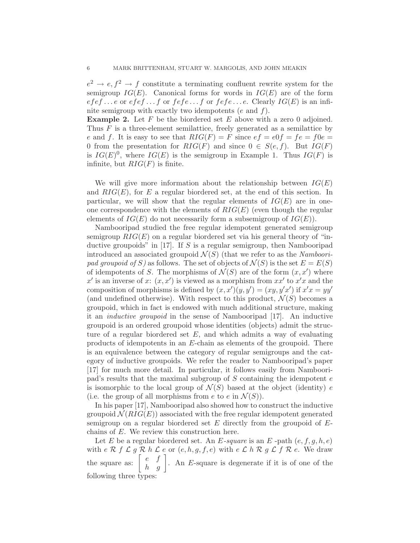$e^2 \to e, f^2 \to f$  constitute a terminating confluent rewrite system for the semigroup  $IG(E)$ . Canonical forms for words in  $IG(E)$  are of the form  $efef...e$  or  $efef...f$  or  $fef.ef...f$  or  $fef.ef...e$ . Clearly  $IG(E)$  is an infinite semigroup with exactly two idempotents  $(e \text{ and } f)$ .

**Example 2.** Let  $F$  be the biordered set  $E$  above with a zero 0 adjoined. Thus  $F$  is a three-element semilattice, freely generated as a semilattice by e and f. It is easy to see that  $RIG(F) = F$  since  $ef = e0f = fe = f0e =$ 0 from the presentation for  $RIG(F)$  and since  $0 \in S(e, f)$ . But  $IG(F)$ is  $IG(E)^0$ , where  $IG(E)$  is the semigroup in Example 1. Thus  $IG(F)$  is infinite, but  $RIG(F)$  is finite.

We will give more information about the relationship between  $IG(E)$ and  $RIG(E)$ , for E a regular biordered set, at the end of this section. In particular, we will show that the regular elements of  $IG(E)$  are in oneone correspondence with the elements of  $RIG(E)$  (even though the regular elements of  $IG(E)$  do not necessarily form a subsemigroup of  $IG(E)$ ).

Nambooripad studied the free regular idempotent generated semigroup semigroup  $RIG(E)$  on a regular biordered set via his general theory of "inductive groupoids" in  $[17]$ . If S is a regular semigroup, then Nambooripad introduced an associated groupoid  $\mathcal{N}(S)$  (that we refer to as the Nambooripad groupoid of S) as follows. The set of objects of  $\mathcal{N}(S)$  is the set  $E = E(S)$ of idempotents of S. The morphisms of  $\mathcal{N}(S)$  are of the form  $(x, x')$  where x' is an inverse of x:  $(x, x')$  is viewed as a morphism from  $xx'$  to  $x'x$  and the composition of morphisms is defined by  $(x, x')(y, y') = (xy, y'x')$  if  $x'x = yy'$ (and undefined otherwise). With respect to this product,  $\mathcal{N}(S)$  becomes a groupoid, which in fact is endowed with much additional structure, making it an inductive groupoid in the sense of Nambooripad [17]. An inductive groupoid is an ordered groupoid whose identities (objects) admit the structure of a regular biordered set  $E$ , and which admits a way of evaluating products of idempotents in an E-chain as elements of the groupoid. There is an equivalence between the category of regular semigroups and the category of inductive groupoids. We refer the reader to Nambooripad's paper [17] for much more detail. In particular, it follows easily from Nambooripad's results that the maximal subgroup of  $S$  containing the idempotent  $e$ is isomorphic to the local group of  $\mathcal{N}(S)$  based at the object (identity) e (i.e. the group of all morphisms from e to e in  $\mathcal{N}(S)$ ).

In his paper [17], Nambooripad also showed how to construct the inductive groupoid  $\mathcal{N}(RIG(E))$  associated with the free regular idempotent generated semigroup on a regular biordered set  $E$  directly from the groupoid of  $E$ chains of E. We review this construction here.

Let E be a regular biordered set. An E-square is an E-path  $(e, f, g, h, e)$ with  $e \mathcal{R} f \mathcal{L} g \mathcal{R} h \mathcal{L} e$  or  $(e, h, g, f, e)$  with  $e \mathcal{L} h \mathcal{R} g \mathcal{L} f \mathcal{R} e$ . We draw the square as:  $\begin{bmatrix} e & f \\ h & g \end{bmatrix}$ . An E-square is degenerate if it is of one of the following three types: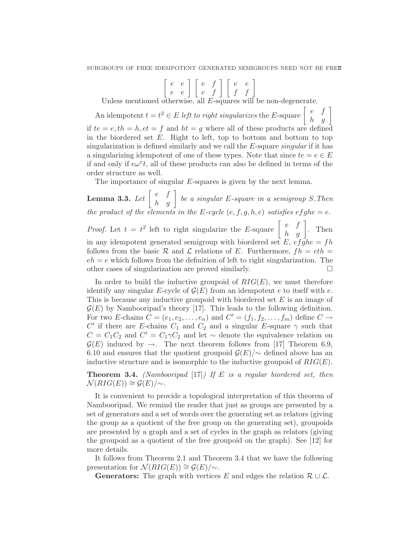$\left[\begin{array}{cc} e & e \\ e & e \end{array}\right] \left[\begin{array}{cc} e & f \\ e & f \end{array}\right] \left[\begin{array}{cc} e & e \\ f & f \end{array}\right]$ 

Unless mentioned otherwise, all E-squares will be non-degenerate.

An idempotent  $t = t^2 \in E$  left to right singularizes the E-square  $\begin{bmatrix} e & f \\ h & g \end{bmatrix}$ if  $te = e, th = h, et = f$  and  $ht = g$  where all of these products are defined in the biordered set  $E$ . Right to left, top to bottom and bottom to top singularization is defined similarly and we call the E-square singular if it has a singularizing idempotent of one of these types. Note that since  $te = e \in E$ if and only if  $e\omega^r t$ , all of these products can also be defined in terms of the order structure as well.

The importance of singular E-squares is given by the next lemma.

**Lemma 3.3.** Let  $\begin{bmatrix} e & f \\ h & g \end{bmatrix}$  be a singular E-square in a semigroup S. Then the product of the elements in the E-cycle  $(e, f, g, h, e)$  satisfies  $efghe = e$ . *Proof.* Let  $t = t^2$  left to right singularize the E-square  $\begin{bmatrix} e & f \\ h & g \end{bmatrix}$ . Then in any idempotent generated semigroup with biordered set E,  $ef\overline{g}he = fh$ follows from the basic R and L relations of E. Furthermore,  $fh = eth =$  $eh = e$  which follows from the definition of left to right singularization. The other cases of singularization are proved similarly.

In order to build the inductive groupoid of  $RIG(E)$ , we must therefore identify any singular E-cycle of  $\mathcal{G}(E)$  from an idempotent e to itself with e. This is because any inductive groupoid with biordered set  $E$  is an image of  $\mathcal{G}(E)$  by Nambooripad's theory [17]. This leads to the following definition. For two E-chains  $C = (e_1, e_2, \ldots, e_n)$  and  $C' = (f_1, f_2, \ldots, f_m)$  define  $C \rightarrow$ C' if there are E-chains  $C_1$  and  $C_2$  and a singular E-square  $\gamma$  such that  $C = C_1 C_2$  and  $C' = C_1 \gamma C_2$  and let ~ denote the equivalence relation on  $\mathcal{G}(E)$  induced by  $\rightarrow$ . The next theorem follows from [17] Theorem 6.9, 6.10 and ensures that the quotient groupoid  $\mathcal{G}(E)/\sim$  defined above has an inductive structure and is isomorphic to the inductive groupoid of  $RIG(E)$ .

**Theorem 3.4.** (Nambooripad [17]) If E is a regular biordered set, then  $\mathcal{N}(RIG(E)) \cong \mathcal{G}(E)/\!\!\sim.$ 

It is convenient to provide a topological interpretation of this theorem of Nambooripad. We remind the reader that just as groups are presented by a set of generators and a set of words over the generating set as relators (giving the group as a quotient of the free group on the generating set), groupoids are presented by a graph and a set of cycles in the graph as relators (giving the groupoid as a quotient of the free groupoid on the graph). See [12] for more details.

It follows from Theorem 2.1 and Theorem 3.4 that we have the following presentation for  $\mathcal{N}(RIG(E)) \cong \mathcal{G}(E)/\sim$ .

**Generators:** The graph with vertices E and edges the relation  $\mathcal{R} \cup \mathcal{L}$ .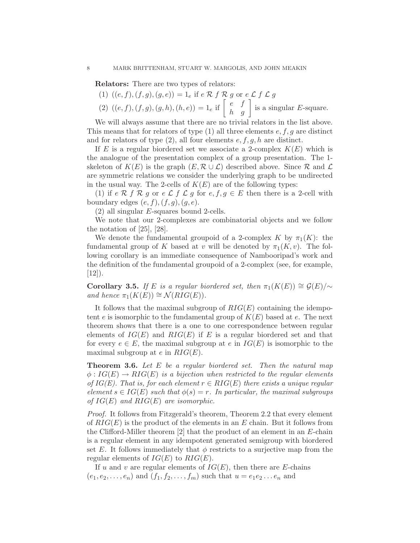Relators: There are two types of relators:

(1) 
$$
((e, f), (f, g), (g, e)) = 1_e
$$
 if  $e \mathcal{R} f \mathcal{R} g$  or  $e \mathcal{L} f \mathcal{L} g$   
(2)  $((e, f), (f, g), (g, h), (h, g), (h, g)) = 1_e$  if  $\begin{bmatrix} e & f \end{bmatrix}$  is a simple

(2)  $((e, f), (f, g), (g, h), (h, e)) = 1_e$  if  $\begin{bmatrix} e & f \\ h & g \end{bmatrix}$  is a singular E-square.

We will always assume that there are no trivial relators in the list above. This means that for relators of type  $(1)$  all three elements  $e, f, g$  are distinct and for relators of type  $(2)$ , all four elements  $e, f, g, h$  are distinct.

If E is a regular biordered set we associate a 2-complex  $K(E)$  which is the analogue of the presentation complex of a group presentation. The 1 skeleton of  $K(E)$  is the graph  $(E, \mathcal{R} \cup \mathcal{L})$  described above. Since  $\mathcal{R}$  and  $\mathcal{L}$ are symmetric relations we consider the underlying graph to be undirected in the usual way. The 2-cells of  $K(E)$  are of the following types:

(1) if e R f R g or e L f L g for e,  $f, g \in E$  then there is a 2-cell with boundary edges  $(e, f), (f, g), (g, e)$ .

(2) all singular E-squares bound 2-cells.

We note that our 2-complexes are combinatorial objects and we follow the notation of [25], [28].

We denote the fundamental groupoid of a 2-complex K by  $\pi_1(K)$ : the fundamental group of K based at v will be denoted by  $\pi_1(K, v)$ . The following corollary is an immediate consequence of Nambooripad's work and the definition of the fundamental groupoid of a 2-complex (see, for example,  $|12|$ ).

Corollary 3.5. If E is a regular biordered set, then  $\pi_1(K(E)) \cong \mathcal{G}(E)/\sim$ and hence  $\pi_1(K(E)) \cong \mathcal{N}(RIG(E)).$ 

It follows that the maximal subgroup of  $RIG(E)$  containing the idempotent e is isomorphic to the fundamental group of  $K(E)$  based at e. The next theorem shows that there is a one to one correspondence between regular elements of  $IG(E)$  and  $RIG(E)$  if E is a regular biordered set and that for every  $e \in E$ , the maximal subgroup at e in  $IG(E)$  is isomorphic to the maximal subgroup at  $e$  in  $RIG(E)$ .

**Theorem 3.6.** Let  $E$  be a regular biordered set. Then the natural map  $\phi:IG(E) \to RIG(E)$  is a bijection when restricted to the regular elements of  $IG(E)$ . That is, for each element  $r \in RIG(E)$  there exists a unique regular element  $s \in IG(E)$  such that  $\phi(s) = r$ . In particular, the maximal subgroups of  $IG(E)$  and  $RIG(E)$  are isomorphic.

Proof. It follows from Fitzgerald's theorem, Theorem 2.2 that every element of  $RIG(E)$  is the product of the elements in an E chain. But it follows from the Clifford-Miller theorem  $[2]$  that the product of an element in an E-chain is a regular element in any idempotent generated semigroup with biordered set E. It follows immediately that  $\phi$  restricts to a surjective map from the regular elements of  $IG(E)$  to  $RIG(E)$ .

If u and v are regular elements of  $IG(E)$ , then there are E-chains  $(e_1, e_2, \ldots, e_n)$  and  $(f_1, f_2, \ldots, f_m)$  such that  $u = e_1 e_2 \ldots e_n$  and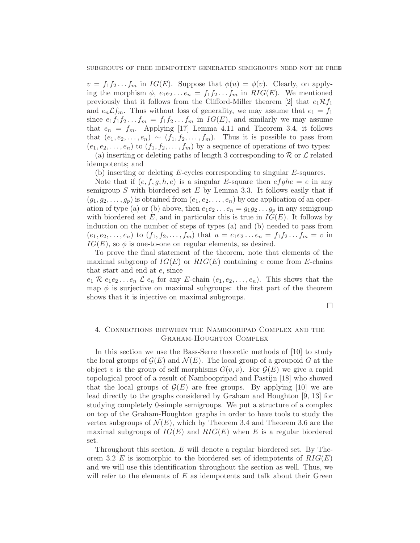$v = f_1 f_2 \dots f_m$  in  $IG(E)$ . Suppose that  $\phi(u) = \phi(v)$ . Clearly, on applying the morphism  $\phi$ ,  $e_1e_2 \dots e_n = f_1f_2 \dots f_m$  in  $RIG(E)$ . We mentioned previously that it follows from the Clifford-Miller theorem [2] that  $e_1 \mathcal{R} f_1$ and  $e_n \mathcal{L} f_m$ . Thus without loss of generality, we may assume that  $e_1 = f_1$ since  $e_1f_1f_2...f_m = f_1f_2...f_m$  in  $IG(E)$ , and similarly we may assume that  $e_n = f_m$ . Applying [17] Lemma 4.11 and Theorem 3.4, it follows that  $(e_1, e_2, \ldots, e_n) \sim (f_1, f_2, \ldots, f_m)$ . Thus it is possible to pass from  $(e_1, e_2, \ldots, e_n)$  to  $(f_1, f_2, \ldots, f_m)$  by a sequence of operations of two types:

(a) inserting or deleting paths of length 3 corresponding to  $R$  or  $\mathcal L$  related idempotents; and

(b) inserting or deleting E-cycles corresponding to singular E-squares.

Note that if  $(e, f, g, h, e)$  is a singular E-square then  $efghe = e$  in any semigroup  $S$  with biordered set  $E$  by Lemma 3.3. It follows easily that if  $(g_1, g_2, \ldots, g_p)$  is obtained from  $(e_1, e_2, \ldots, e_n)$  by one application of an operation of type (a) or (b) above, then  $e_1e_2 \ldots e_n = g_1g_2 \ldots g_p$  in any semigroup with biordered set E, and in particular this is true in  $IG(E)$ . It follows by induction on the number of steps of types (a) and (b) needed to pass from  $(e_1, e_2, \ldots, e_n)$  to  $(f_1, f_2, \ldots, f_m)$  that  $u = e_1 e_2 \ldots e_n = f_1 f_2 \ldots f_m = v$  in  $IG(E)$ , so  $\phi$  is one-to-one on regular elements, as desired.

To prove the final statement of the theorem, note that elements of the maximal subgroup of  $IG(E)$  or  $RIG(E)$  containing e come from E-chains that start and end at e, since

 $e_1 \mathcal{R} e_1 e_2 \ldots e_n \mathcal{L} e_n$  for any E-chain  $(e_1, e_2, \ldots, e_n)$ . This shows that the map  $\phi$  is surjective on maximal subgroups: the first part of the theorem shows that it is injective on maximal subgroups.

 $\Box$ 

## 4. Connections between the Nambooripad Complex and the Graham-Houghton Complex

In this section we use the Bass-Serre theoretic methods of [10] to study the local groups of  $\mathcal{G}(E)$  and  $\mathcal{N}(E)$ . The local group of a groupoid G at the object v is the group of self morphisms  $G(v, v)$ . For  $\mathcal{G}(E)$  we give a rapid topological proof of a result of Namboopripad and Pastijn [18] who showed that the local groups of  $\mathcal{G}(E)$  are free groups. By applying [10] we are lead directly to the graphs considered by Graham and Houghton [9, 13] for studying completely 0-simple semigroups. We put a structure of a complex on top of the Graham-Houghton graphs in order to have tools to study the vertex subgroups of  $\mathcal{N}(E)$ , which by Theorem 3.4 and Theorem 3.6 are the maximal subgroups of  $IG(E)$  and  $RIG(E)$  when E is a regular biordered set.

Throughout this section, E will denote a regular biordered set. By Theorem 3.2 E is isomorphic to the biordered set of idempotents of  $RIG(E)$ and we will use this identification throughout the section as well. Thus, we will refer to the elements of  $E$  as idempotents and talk about their Green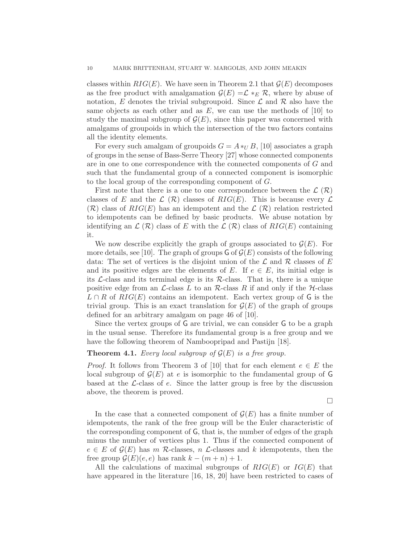classes within  $RIG(E)$ . We have seen in Theorem 2.1 that  $\mathcal{G}(E)$  decomposes as the free product with amalgamation  $\mathcal{G}(E) = \mathcal{L} *_{E} \mathcal{R}$ , where by abuse of notation, E denotes the trivial subgroupoid. Since  $\mathcal L$  and  $\mathcal R$  also have the same objects as each other and as  $E$ , we can use the methods of [10] to study the maximal subgroup of  $\mathcal{G}(E)$ , since this paper was concerned with amalgams of groupoids in which the intersection of the two factors contains all the identity elements.

For every such amalgam of groupoids  $G = A *_U B$ , [10] associates a graph of groups in the sense of Bass-Serre Theory [27] whose connected components are in one to one correspondence with the connected components of G and such that the fundamental group of a connected component is isomorphic to the local group of the corresponding component of G.

First note that there is a one to one correspondence between the  $\mathcal{L}(\mathcal{R})$ classes of E and the  $\mathcal{L}(\mathcal{R})$  classes of  $RIG(E)$ . This is because every  $\mathcal{L}$  $(\mathcal{R})$  class of  $RIG(E)$  has an idempotent and the  $\mathcal{L}(\mathcal{R})$  relation restricted to idempotents can be defined by basic products. We abuse notation by identifying an  $\mathcal{L}(\mathcal{R})$  class of E with the  $\mathcal{L}(\mathcal{R})$  class of  $RIG(E)$  containing it.

We now describe explicitly the graph of groups associated to  $\mathcal{G}(E)$ . For more details, see [10]. The graph of groups  $\mathsf{G}$  of  $\mathcal{G}(E)$  consists of the following data: The set of vertices is the disjoint union of the  $\mathcal L$  and  $\mathcal R$  classes of E and its positive edges are the elements of E. If  $e \in E$ , its initial edge is its  $\mathcal{L}\text{-class}$  and its terminal edge is its  $\mathcal{R}\text{-class}$ . That is, there is a unique positive edge from an  $\mathcal{L}\text{-class } L$  to an  $\mathcal{R}\text{-class } R$  if and only if the  $\mathcal{H}\text{-class }$  $L \cap R$  of  $RIG(E)$  contains an idempotent. Each vertex group of G is the trivial group. This is an exact translation for  $\mathcal{G}(E)$  of the graph of groups defined for an arbitrary amalgam on page 46 of [10].

Since the vertex groups of G are trivial, we can consider G to be a graph in the usual sense. Therefore its fundamental group is a free group and we have the following theorem of Namboopripad and Pastijn [18].

### **Theorem 4.1.** Every local subgroup of  $\mathcal{G}(E)$  is a free group.

*Proof.* It follows from Theorem 3 of [10] that for each element  $e \in E$  the local subgroup of  $\mathcal{G}(E)$  at e is isomorphic to the fundamental group of G based at the  $\mathcal{L}\text{-class}$  of e. Since the latter group is free by the discussion above, the theorem is proved.

 $\Box$ 

In the case that a connected component of  $\mathcal{G}(E)$  has a finite number of idempotents, the rank of the free group will be the Euler characteristic of the corresponding component of G, that is, the number of edges of the graph minus the number of vertices plus 1. Thus if the connected component of  $e \in E$  of  $\mathcal{G}(E)$  has m R-classes, n L-classes and k idempotents, then the free group  $\mathcal{G}(E)(e,e)$  has rank  $k - (m+n) + 1$ .

All the calculations of maximal subgroups of  $RIG(E)$  or  $IG(E)$  that have appeared in the literature [16, 18, 20] have been restricted to cases of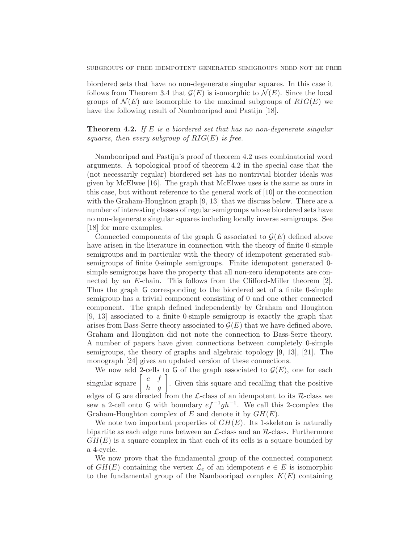biordered sets that have no non-degenerate singular squares. In this case it follows from Theorem 3.4 that  $\mathcal{G}(E)$  is isomorphic to  $\mathcal{N}(E)$ . Since the local groups of  $\mathcal{N}(E)$  are isomorphic to the maximal subgroups of  $RIG(E)$  we have the following result of Nambooripad and Pastijn [18].

**Theorem 4.2.** If E is a biordered set that has no non-degenerate singular squares, then every subgroup of  $RIG(E)$  is free.

Nambooripad and Pastijn's proof of theorem 4.2 uses combinatorial word arguments. A topological proof of theorem 4.2 in the special case that the (not necessarily regular) biordered set has no nontrivial biorder ideals was given by McElwee [16]. The graph that McElwee uses is the same as ours in this case, but without reference to the general work of [10] or the connection with the Graham-Houghton graph [9, 13] that we discuss below. There are a number of interesting classes of regular semigroups whose biordered sets have no non-degenerate singular squares including locally inverse semigroups. See [18] for more examples.

Connected components of the graph G associated to  $\mathcal{G}(E)$  defined above have arisen in the literature in connection with the theory of finite 0-simple semigroups and in particular with the theory of idempotent generated subsemigroups of finite 0-simple semigroups. Finite idempotent generated 0 simple semigroups have the property that all non-zero idempotents are connected by an E-chain. This follows from the Clifford-Miller theorem [2]. Thus the graph G corresponding to the biordered set of a finite 0-simple semigroup has a trivial component consisting of 0 and one other connected component. The graph defined independently by Graham and Houghton [9, 13] associated to a finite 0-simple semigroup is exactly the graph that arises from Bass-Serre theory associated to  $\mathcal{G}(E)$  that we have defined above. Graham and Houghton did not note the connection to Bass-Serre theory. A number of papers have given connections between completely 0-simple semigroups, the theory of graphs and algebraic topology [9, 13], [21]. The monograph [24] gives an updated version of these connections.

We now add 2-cells to G of the graph associated to  $\mathcal{G}(E)$ , one for each singular square  $\begin{bmatrix} e & f \\ h & g \end{bmatrix}$ . Given this square and recalling that the positive edges of G are directed from the  $\mathcal{L}\text{-class}$  of an idempotent to its  $\mathcal{R}\text{-class}$  we sew a 2-cell onto G with boundary  $ef^{-1}gh^{-1}$ . We call this 2-complex the Graham-Houghton complex of E and denote it by  $GH(E)$ .

We note two important properties of  $GH(E)$ . Its 1-skeleton is naturally bipartite as each edge runs between an  $\mathcal{L}\text{-class}$  and an  $\mathcal{R}\text{-class}$ . Furthermore  $GH(E)$  is a square complex in that each of its cells is a square bounded by a 4-cycle.

We now prove that the fundamental group of the connected component of  $GH(E)$  containing the vertex  $\mathcal{L}_e$  of an idempotent  $e \in E$  is isomorphic to the fundamental group of the Nambooripad complex  $K(E)$  containing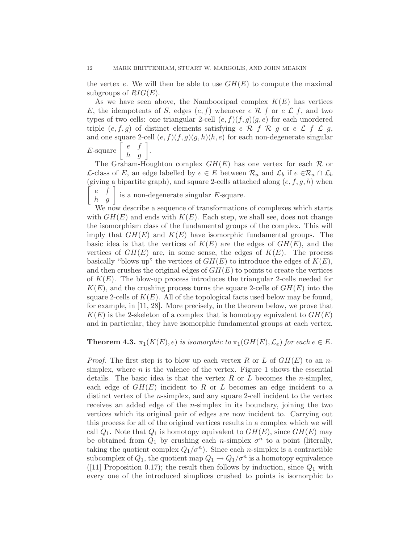the vertex e. We will then be able to use  $GH(E)$  to compute the maximal subgroups of  $RIG(E)$ .

As we have seen above, the Nambooripad complex  $K(E)$  has vertices E, the idempotents of S, edges  $(e, f)$  whenever  $e \mathcal{R} f$  or  $e \mathcal{L} f$ , and two types of two cells: one triangular 2-cell  $(e, f)(f, g)(g, e)$  for each unordered triple  $(e, f, g)$  of distinct elements satisfying  $e \mathcal{R} f \mathcal{R} g$  or  $e \mathcal{L} f \mathcal{L} g$ , and one square 2-cell  $(e, f)(f, g)(g, h)(h, e)$  for each non-degenerate singular  $E$ -square  $\begin{bmatrix} e & f \\ h & g \end{bmatrix}$ .

The Graham-Houghton complex  $GH(E)$  has one vertex for each  $\mathcal R$  or *L*-class of *E*, an edge labelled by  $e \in E$  between  $\mathcal{R}_a$  and  $\mathcal{L}_b$  if  $e \in \mathcal{R}_a \cap \mathcal{L}_b$ (giving a bipartite graph), and square 2-cells attached along  $(e, f, g, h)$  when f  $\begin{bmatrix} e & f \\ h & g \end{bmatrix}$  is a non-degenerate singular E-square.

We now describe a sequence of transformations of complexes which starts with  $GH(E)$  and ends with  $K(E)$ . Each step, we shall see, does not change the isomorphism class of the fundamental groups of the complex. This will imply that  $GH(E)$  and  $K(E)$  have isomorphic fundamental groups. The basic idea is that the vertices of  $K(E)$  are the edges of  $GH(E)$ , and the vertices of  $GH(E)$  are, in some sense, the edges of  $K(E)$ . The process basically "blows up" the vertices of  $GH(E)$  to introduce the edges of  $K(E)$ , and then crushes the original edges of  $GH(E)$  to points to create the vertices of  $K(E)$ . The blow-up process introduces the triangular 2-cells needed for  $K(E)$ , and the crushing process turns the square 2-cells of  $GH(E)$  into the square 2-cells of  $K(E)$ . All of the topological facts used below may be found, for example, in [11, 28]. More precisely, in the theorem below, we prove that  $K(E)$  is the 2-skeleton of a complex that is homotopy equivalent to  $GH(E)$ and in particular, they have isomorphic fundamental groups at each vertex.

## **Theorem 4.3.**  $\pi_1(K(E), e)$  is isomorphic to  $\pi_1(GH(E), \mathcal{L}_e)$  for each  $e \in E$ .

*Proof.* The first step is to blow up each vertex R or L of  $GH(E)$  to an nsimplex, where  $n$  is the valence of the vertex. Figure 1 shows the essential details. The basic idea is that the vertex  $R$  or  $L$  becomes the *n*-simplex, each edge of  $GH(E)$  incident to R or L becomes an edge incident to a distinct vertex of the n-simplex, and any square 2-cell incident to the vertex receives an added edge of the  $n$ -simplex in its boundary, joining the two vertices which its original pair of edges are now incident to. Carrying out this process for all of the original vertices results in a complex which we will call  $Q_1$ . Note that  $Q_1$  is homotopy equivalent to  $GH(E)$ , since  $GH(E)$  may be obtained from  $Q_1$  by crushing each *n*-simplex  $\sigma^n$  to a point (literally, taking the quotient complex  $Q_1/\sigma^n$ ). Since each *n*-simplex is a contractible subcomplex of  $Q_1$ , the quotient map  $Q_1 \to Q_1/\sigma^n$  is a homotopy equivalence ([11] Proposition 0.17); the result then follows by induction, since  $Q_1$  with every one of the introduced simplices crushed to points is isomorphic to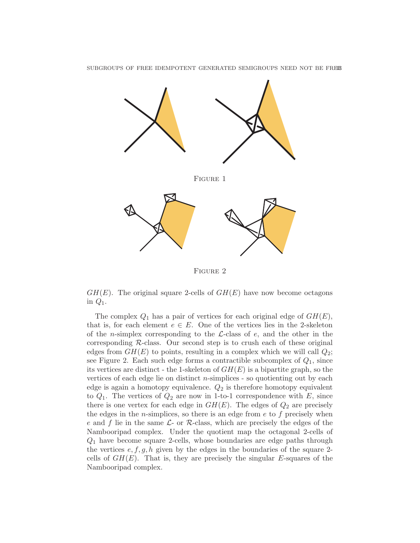

Figure 2

 $GH(E)$ . The original square 2-cells of  $GH(E)$  have now become octagons in  $Q_1$ .

The complex  $Q_1$  has a pair of vertices for each original edge of  $GH(E)$ , that is, for each element  $e \in E$ . One of the vertices lies in the 2-skeleton of the *n*-simplex corresponding to the  $\mathcal{L}\text{-class}$  of e, and the other in the corresponding  $R$ -class. Our second step is to crush each of these original edges from  $GH(E)$  to points, resulting in a complex which we will call  $Q_2$ ; see Figure 2. Each such edge forms a contractible subcomplex of  $Q_1$ , since its vertices are distinct - the 1-skeleton of  $GH(E)$  is a bipartite graph, so the vertices of each edge lie on distinct  $n$ -simplices  $\overline{\phantom{a}}$  so quotienting out by each edge is again a homotopy equivalence.  $Q_2$  is therefore homotopy equivalent to  $Q_1$ . The vertices of  $Q_2$  are now in 1-to-1 correspondence with E, since there is one vertex for each edge in  $GH(E)$ . The edges of  $Q_2$  are precisely the edges in the *n*-simplices, so there is an edge from  $e$  to  $f$  precisely when e and f lie in the same  $\mathcal{L}$ - or  $\mathcal{R}$ -class, which are precisely the edges of the Nambooripad complex. Under the quotient map the octagonal 2-cells of  $Q<sub>1</sub>$  have become square 2-cells, whose boundaries are edge paths through the vertices  $e, f, g, h$  given by the edges in the boundaries of the square 2cells of  $GH(E)$ . That is, they are precisely the singular E-squares of the Nambooripad complex.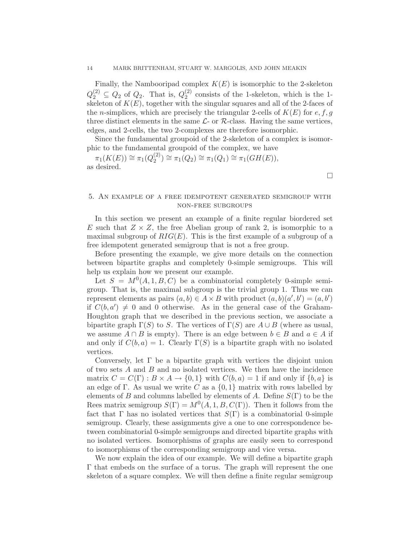Finally, the Nambooripad complex  $K(E)$  is isomorphic to the 2-skeleton  $Q_2^{(2)} \subseteq Q_2$  of  $Q_2$ . That is,  $Q_2^{(2)}$  $_2^{(2)}$  consists of the 1-skeleton, which is the 1skeleton of  $K(E)$ , together with the singular squares and all of the 2-faces of the *n*-simplices, which are precisely the triangular 2-cells of  $K(E)$  for  $e, f, g$ three distinct elements in the same  $\mathcal{L}$ - or  $\mathcal{R}$ -class. Having the same vertices, edges, and 2-cells, the two 2-complexes are therefore isomorphic.

Since the fundamental groupoid of the 2-skeleton of a complex is isomorphic to the fundamental groupoid of the complex, we have

 $\pi_1(K(E)) \cong \pi_1(Q_2^{(2)}$  $\pi_2^{(2)}) \cong \pi_1(Q_2) \cong \pi_1(Q_1) \cong \pi_1(GH(E)),$ as desired.

## 5. An example of a free idempotent generated semigroup with non-free subgroups

In this section we present an example of a finite regular biordered set E such that  $Z \times Z$ , the free Abelian group of rank 2, is isomorphic to a maximal subgroup of  $RIG(E)$ . This is the first example of a subgroup of a free idempotent generated semigroup that is not a free group.

Before presenting the example, we give more details on the connection between bipartite graphs and completely 0-simple semigroups. This will help us explain how we present our example.

Let  $S = M^{0}(A, 1, B, C)$  be a combinatorial completely 0-simple semigroup. That is, the maximal subgroup is the trivial group 1. Thus we can represent elements as pairs  $(a, b) \in A \times B$  with product  $(a, b)(a', b') = (a, b')$ if  $C(b, a') \neq 0$  and 0 otherwise. As in the general case of the Graham-Houghton graph that we described in the previous section, we associate a bipartite graph  $\Gamma(S)$  to S. The vertices of  $\Gamma(S)$  are  $A \cup B$  (where as usual, we assume  $A \cap B$  is empty). There is an edge between  $b \in B$  and  $a \in A$  if and only if  $C(b, a) = 1$ . Clearly  $\Gamma(S)$  is a bipartite graph with no isolated vertices.

Conversely, let  $\Gamma$  be a bipartite graph with vertices the disjoint union of two sets  $A$  and  $B$  and no isolated vertices. We then have the incidence matrix  $C = C(\Gamma) : B \times A \rightarrow \{0, 1\}$  with  $C(b, a) = 1$  if and only if  $\{b, a\}$  is an edge of Γ. As usual we write C as a  $\{0,1\}$  matrix with rows labelled by elements of B and columns labelled by elements of A. Define  $S(\Gamma)$  to be the Rees matrix semigroup  $S(\Gamma) = M^{0}(A, 1, B, C(\Gamma))$ . Then it follows from the fact that  $\Gamma$  has no isolated vertices that  $S(\Gamma)$  is a combinatorial 0-simple semigroup. Clearly, these assignments give a one to one correspondence between combinatorial 0-simple semigroups and directed bipartite graphs with no isolated vertices. Isomorphisms of graphs are easily seen to correspond to isomorphisms of the corresponding semigroup and vice versa.

We now explain the idea of our example. We will define a bipartite graph Γ that embeds on the surface of a torus. The graph will represent the one skeleton of a square complex. We will then define a finite regular semigroup

 $\Box$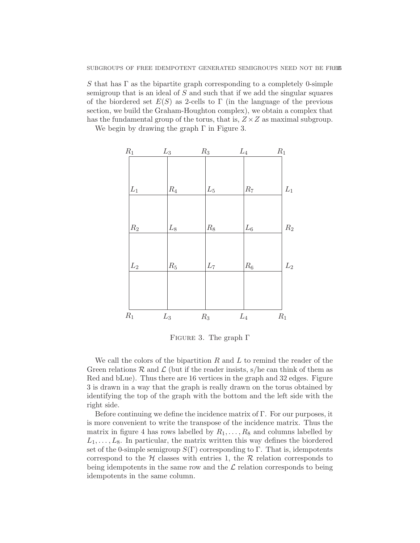S that has  $\Gamma$  as the bipartite graph corresponding to a completely 0-simple semigroup that is an ideal of S and such that if we add the singular squares of the biordered set  $E(S)$  as 2-cells to Γ (in the language of the previous section, we build the Graham-Houghton complex), we obtain a complex that has the fundamental group of the torus, that is,  $Z \times Z$  as maximal subgroup.

We begin by drawing the graph  $\Gamma$  in Figure 3.



FIGURE 3. The graph  $\Gamma$ 

We call the colors of the bipartition  $R$  and  $L$  to remind the reader of the Green relations  $R$  and  $\mathcal L$  (but if the reader insists, s/he can think of them as Red and bLue). Thus there are 16 vertices in the graph and 32 edges. Figure 3 is drawn in a way that the graph is really drawn on the torus obtained by identifying the top of the graph with the bottom and the left side with the right side.

Before continuing we define the incidence matrix of Γ. For our purposes, it is more convenient to write the transpose of the incidence matrix. Thus the matrix in figure 4 has rows labelled by  $R_1, \ldots, R_8$  and columns labelled by  $L_1, \ldots, L_8$ . In particular, the matrix written this way defines the biordered set of the 0-simple semigroup  $S(\Gamma)$  corresponding to  $\Gamma$ . That is, idempotents correspond to the  $H$  classes with entries 1, the  $R$  relation corresponds to being idempotents in the same row and the  $\mathcal L$  relation corresponds to being idempotents in the same column.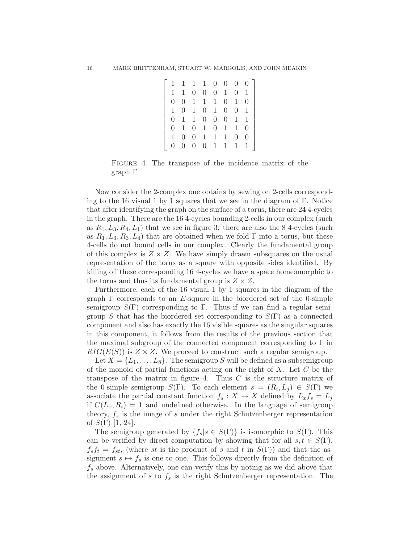$\lceil$  1 1 1 1 0 0 0 0 1 1 0 0 0 1 0 1 0 0 1 1 1 0 1 0 1 0 1 0 1 0 0 1 0 1 1 0 0 0 1 1 0 1 0 1 0 1 1 0 1 0 0 1 1 1 0 0 0 0 0 0 1 1 1 1 1 

FIGURE 4. The transpose of the incidence matrix of the graph Γ

Now consider the 2-complex one obtains by sewing on 2-cells corresponding to the 16 visual 1 by 1 squares that we see in the diagram of  $\Gamma$ . Notice that after identifying the graph on the surface of a torus, there are 24 4-cycles in the graph. There are the 16 4-cycles bounding 2-cells in our complex (such as  $R_1, L_3, R_4, L_1$ ) that we see in figure 3: there are also the 8 4-cycles (such as  $R_1, L_3, R_3, L_4$  that are obtained when we fold  $\Gamma$  into a torus, but these 4-cells do not bound cells in our complex. Clearly the fundamental group of this complex is  $Z \times Z$ . We have simply drawn subsquares on the usual representation of the torus as a square with opposite sides identified. By killing off these corresponding 16 4-cycles we have a space homeomorphic to the torus and thus its fundamental group is  $Z \times Z$ .

Furthermore, each of the 16 visual 1 by 1 squares in the diagram of the graph  $\Gamma$  corresponds to an E-square in the biordered set of the 0-simple semigroup  $S(\Gamma)$  corresponding to Γ. Thus if we can find a regular semigroup S that has the biordered set corresponding to  $S(\Gamma)$  as a connected component and also has exactly the 16 visible squares as the singular squares in this component, it follows from the results of the previous section that the maximal subgroup of the connected component corresponding to  $\Gamma$  in  $RIG(E(S))$  is  $Z \times Z$ . We proceed to construct such a regular semigroup.

Let  $X = \{L_1, \ldots, L_8\}$ . The semigroup S will be defined as a subsemigroup of the monoid of partial functions acting on the right of  $X$ . Let  $C$  be the transpose of the matrix in figure 4. Thus  $C$  is the structure matrix of the 0-simple semigroup  $S(\Gamma)$ . To each element  $s = (R_i, L_j) \in S(\Gamma)$  we associate the partial constant function  $f_s: X \to X$  defined by  $L_x f_s = L_j$ if  $C(L_x, R_i) = 1$  and undefined otherwise. In the language of semigroup theory,  $f_s$  is the image of s under the right Schutzenberger representation of  $S(\Gamma)$  [1, 24].

The semigroup generated by  $\{f_s | s \in S(\Gamma)\}\$ is isomorphic to  $S(\Gamma)$ . This can be verified by direct computation by showing that for all  $s, t \in S(\Gamma)$ ,  $f_s f_t = f_{st}$ , (where st is the product of s and t in  $S(\Gamma)$ ) and that the assignment  $s \mapsto f_s$  is one to one. This follows directly from the definition of  $f_s$  above. Alternatively, one can verify this by noting as we did above that the assignment of s to  $f_s$  is the right Schutzenberger representation. The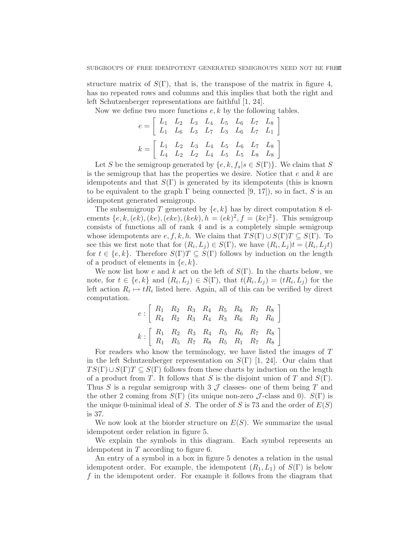structure matrix of  $S(\Gamma)$ , that is, the transpose of the matrix in figure 4, has no repeated rows and columns and this implies that both the right and left Schutzenberger representations are faithful [1, 24].

Now we define two more functions  $e, k$  by the following tables.

$$
e = \begin{bmatrix} L_1 & L_2 & L_3 & L_4 & L_5 & L_6 & L_7 & L_8 \ L_1 & L_6 & L_3 & L_7 & L_3 & L_6 & L_7 & L_1 \end{bmatrix}
$$

$$
k = \begin{bmatrix} L_1 & L_2 & L_3 & L_4 & L_5 & L_6 & L_7 & L_8 \ L_4 & L_2 & L_2 & L_4 & L_5 & L_5 & L_8 & L_8 \end{bmatrix}
$$

Let S be the semigroup generated by  $\{e, k, f_s | s \in S(\Gamma)\}\$ . We claim that S is the semigroup that has the properties we desire. Notice that  $e$  and  $k$  are idempotents and that  $S(\Gamma)$  is generated by its idempotents (this is known to be equivalent to the graph  $\Gamma$  being connected [9, 17]), so in fact, S is an idempotent generated semigroup.

The subsemigroup T generated by  $\{e, k\}$  has by direct computation 8 elements  $\{e, k, (ek), (ke), (eke), (kek), h = (ek)^2, f = (ke)^2\}$ . This semigroup consists of functions all of rank 4 and is a completely simple semigroup whose idempotents are  $e, f, k, h$ . We claim that  $TS(\Gamma) \cup S(\Gamma)T \subseteq S(\Gamma)$ . To see this we first note that for  $(R_i, L_j) \in S(\Gamma)$ , we have  $(R_i, L_j)t = (R_i, L_jt)$ for  $t \in \{e, k\}$ . Therefore  $S(\Gamma)T \subseteq S(\Gamma)$  follows by induction on the length of a product of elements in  $\{e, k\}.$ 

We now list how e and k act on the left of  $S(\Gamma)$ . In the charts below, we note, for  $t \in \{e, k\}$  and  $(R_i, L_j) \in S(\Gamma)$ , that  $t(R_i, L_j) = (tR_i, L_j)$  for the left action  $R_i \mapsto tR_i$  listed here. Again, all of this can be verified by direct computation.

$$
e: \left[ \begin{array}{cccccc} R_1 & R_2 & R_3 & R_4 & R_5 & R_6 & R_7 & R_8 \\ R_4 & R_2 & R_3 & R_4 & R_3 & R_6 & R_2 & R_6 \end{array} \right]
$$

$$
k: \left[ \begin{array}{cccccc} R_1 & R_2 & R_3 & R_4 & R_5 & R_6 & R_7 & R_8 \\ R_1 & R_5 & R_7 & R_8 & R_5 & R_1 & R_7 & R_8 \end{array} \right]
$$

For readers who know the terminology, we have listed the images of  $T$ in the left Schutzenberger representation on  $S(\Gamma)$  [1, 24]. Our claim that  $TS(\Gamma) \cup S(\Gamma)T \subseteq S(\Gamma)$  follows from these charts by induction on the length of a product from T. It follows that S is the disjoint union of T and  $S(\Gamma)$ . Thus S is a regular semigroup with 3  $\mathcal J$  classes- one of them being T and the other 2 coming from  $S(\Gamma)$  (its unique non-zero  $\mathcal{J}$ -class and 0).  $S(\Gamma)$  is the unique 0-minimal ideal of S. The order of S is 73 and the order of  $E(S)$ is 37.

We now look at the biorder structure on  $E(S)$ . We summarize the usual idempotent order relation in figure 5.

We explain the symbols in this diagram. Each symbol represents an idempotent in  $T$  according to figure 6.

An entry of a symbol in a box in figure 5 denotes a relation in the usual idempotent order. For example, the idempotent  $(R_1, L_1)$  of  $S(\Gamma)$  is below  $f$  in the idempotent order. For example it follows from the diagram that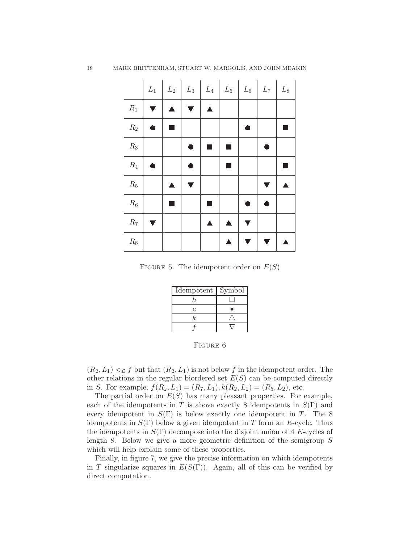|         | $L_1$                | $\begin{array}{ c c c c c c c c c } \hline \rule{0mm}{1.2mm} & L_2 & L_3 & L_4 & L_5 & L_6 & L_7 & L_8 \ \hline \end{array}$ |   |   |  |  |
|---------|----------------------|------------------------------------------------------------------------------------------------------------------------------|---|---|--|--|
| $-R_1$  | $\blacktriangledown$ | ▲                                                                                                                            | ▲ |   |  |  |
| $R_2$   |                      | <b>Service Service</b>                                                                                                       |   |   |  |  |
| $R_3$   |                      |                                                                                                                              |   |   |  |  |
| $R_4$   |                      |                                                                                                                              |   |   |  |  |
| $R_5$   |                      |                                                                                                                              |   |   |  |  |
| $R_6$   |                      |                                                                                                                              |   |   |  |  |
| $R_7$   |                      |                                                                                                                              | ▲ | ▲ |  |  |
| $R_8\,$ |                      |                                                                                                                              |   |   |  |  |

FIGURE 5. The idempotent order on  $E(S)$ 

| Idempotent | Symbol |
|------------|--------|
|            |        |
| P.         |        |
| ļ.         |        |
|            |        |

Figure 6

 $(R_2, L_1) <_{\mathcal{L}} f$  but that  $(R_2, L_1)$  is not below f in the idempotent order. The other relations in the regular biordered set  $E(S)$  can be computed directly in S. For example,  $f(R_2, L_1) = (R_7, L_1), k(R_2, L_2) = (R_5, L_2),$  etc.

The partial order on  $E(S)$  has many pleasant properties. For example, each of the idempotents in T is above exactly 8 idempotents in  $S(\Gamma)$  and every idempotent in  $S(\Gamma)$  is below exactly one idempotent in T. The 8 idempotents in  $S(\Gamma)$  below a given idempotent in T form an E-cycle. Thus the idempotents in  $S(\Gamma)$  decompose into the disjoint union of 4 E-cycles of length 8. Below we give a more geometric definition of the semigroup  $S$ which will help explain some of these properties.

Finally, in figure 7, we give the precise information on which idempotents in T singularize squares in  $E(S(\Gamma))$ . Again, all of this can be verified by direct computation.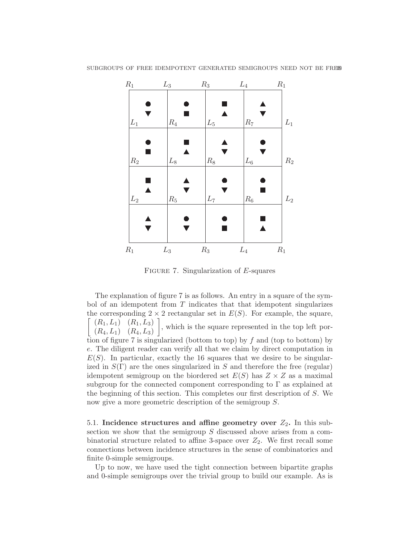

SUBGROUPS OF FREE IDEMPOTENT GENERATED SEMIGROUPS NEED NOT BE FREE

FIGURE 7. Singularization of  $E$ -squares

The explanation of figure 7 is as follows. An entry in a square of the symbol of an idempotent from  $T$  indicates that that idempotent singularizes the corresponding  $2 \times 2$  rectangular set in  $E(S)$ . For example, the square,  $(R_1, L_1)$   $(R_1, L_3)$  $(R_4, L_1)$   $(R_4, L_3)$  , which is the square represented in the top left portion of figure 7 is singularized (bottom to top) by  $f$  and (top to bottom) by e. The diligent reader can verify all that we claim by direct computation in  $E(S)$ . In particular, exactly the 16 squares that we desire to be singularized in  $S(\Gamma)$  are the ones singularized in S and therefore the free (regular) idempotent semigroup on the biordered set  $E(S)$  has  $Z \times Z$  as a maximal subgroup for the connected component corresponding to  $\Gamma$  as explained at the beginning of this section. This completes our first description of S. We now give a more geometric description of the semigroup S.

5.1. Incidence structures and affine geometry over  $Z_2$ . In this subsection we show that the semigroup  $S$  discussed above arises from a combinatorial structure related to affine 3-space over  $Z_2$ . We first recall some connections between incidence structures in the sense of combinatorics and finite 0-simple semigroups.

Up to now, we have used the tight connection between bipartite graphs and 0-simple semigroups over the trivial group to build our example. As is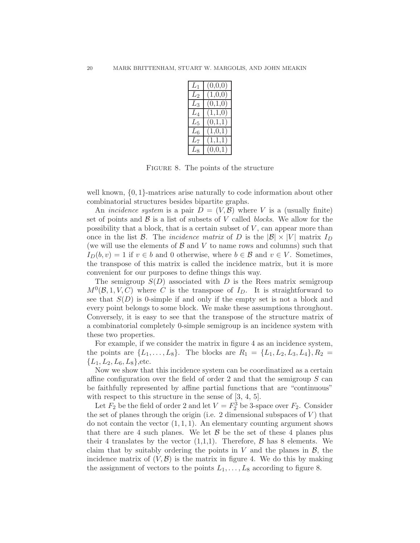| L٦          | (0,0,0)              |
|-------------|----------------------|
| $L_2$       | $\overline{(1,0,0)}$ |
| $L_3$       | (0,1,0)              |
| $L_4$       | (1,1,0)              |
| $L_5$       | (0,1,1)              |
| $L_6$       | (1,0,1)              |
| $L_{\rm 7}$ | (1,1,1)              |
| $L_{\rm R}$ | (0,0,1)              |

Figure 8. The points of the structure

well known,  $\{0, 1\}$ -matrices arise naturally to code information about other combinatorial structures besides bipartite graphs.

An *incidence system* is a pair  $D = (V, \mathcal{B})$  where V is a (usually finite) set of points and  $\beta$  is a list of subsets of V called *blocks*. We allow for the possibility that a block, that is a certain subset of  $V$ , can appear more than once in the list B. The *incidence matrix* of D is the  $|\mathcal{B}| \times |V|$  matrix  $I_D$ (we will use the elements of  $\beta$  and  $V$  to name rows and columns) such that  $I_D(b, v) = 1$  if  $v \in b$  and 0 otherwise, where  $b \in \mathcal{B}$  and  $v \in V$ . Sometimes, the transpose of this matrix is called the incidence matrix, but it is more convenient for our purposes to define things this way.

The semigroup  $S(D)$  associated with D is the Rees matrix semigroup  $M^0(\mathcal{B},1,V,C)$  where C is the transpose of  $I_D$ . It is straightforward to see that  $S(D)$  is 0-simple if and only if the empty set is not a block and every point belongs to some block. We make these assumptions throughout. Conversely, it is easy to see that the transpose of the structure matrix of a combinatorial completely 0-simple semigroup is an incidence system with these two properties.

For example, if we consider the matrix in figure 4 as an incidence system, the points are  $\{L_1, \ldots, L_8\}$ . The blocks are  $R_1 = \{L_1, L_2, L_3, L_4\}, R_2 =$  ${L_1, L_2, L_6, L_8\}$ , etc.

Now we show that this incidence system can be coordinatized as a certain affine configuration over the field of order 2 and that the semigroup  $S$  can be faithfully represented by affine partial functions that are "continuous" with respect to this structure in the sense of  $[3, 4, 5]$ .

Let  $F_2$  be the field of order 2 and let  $V = F_2^3$  be 3-space over  $F_2$ . Consider the set of planes through the origin (i.e. 2 dimensional subspaces of  $V$ ) that do not contain the vector  $(1, 1, 1)$ . An elementary counting argument shows that there are 4 such planes. We let  $\beta$  be the set of these 4 planes plus their 4 translates by the vector  $(1,1,1)$ . Therefore,  $\beta$  has 8 elements. We claim that by suitably ordering the points in V and the planes in  $\mathcal{B}$ , the incidence matrix of  $(V, \mathcal{B})$  is the matrix in figure 4. We do this by making the assignment of vectors to the points  $L_1, \ldots, L_8$  according to figure 8.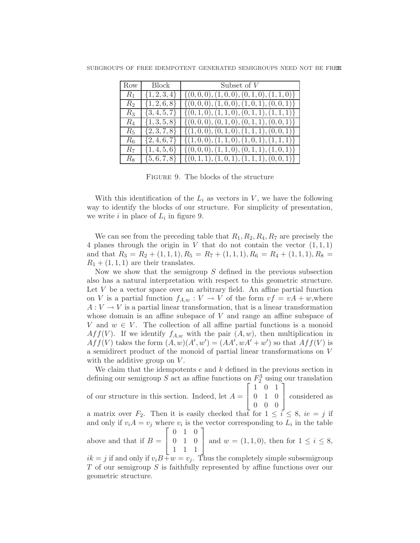| Row      | Block            | Subset of $V$                                                   |
|----------|------------------|-----------------------------------------------------------------|
| $R_1$    | $\{1,2,3,4\}$    | $\{(0,0,0), (1,0,0), (0,1,0), (1,1,0)\}\$                       |
| $R_2$    | $\{1, 2, 6, 8\}$ | $\{ (0,0,0), (1,0,0), (1,0,1), (0,0,1) \}$                      |
| $R_{3-}$ |                  | $\{3,4,5,7\}$ $\{(0,1,0), (1,1,0), (0,1,1), (1,1,1)\}$          |
| $R_4$    |                  | $\{ \{1,3,5,8\} \}\{ (0,0,0), (0,1,0), (0,1,1), (0,0,1) \}$     |
| R5.      |                  | $\{ \{2,3,7,8\} \}$ $\{ \{(1,0,0), (0,1,0), (1,1,1), (0,0,1)\}$ |
| $R_6$    |                  | $\{ \{2,4,6,7\} \}$ $\{ (1,0,0), (1,1,0), (1,0,1), (1,1,1) \}$  |
| $R_7$    |                  | $\{ \{1,4,5,6\} \}$ $\{ (0,0,0), (1,1,0), (0,1,1), (1,0,1) \}$  |
|          |                  | $R_8$ $\{5,6,7,8\}$ $\{(0,1,1), (1,0,1), (1,1,1), (0,0,1)\}$    |

Figure 9. The blocks of the structure

With this identification of the  $L_i$  as vectors in V, we have the following way to identify the blocks of our structure. For simplicity of presentation, we write  $i$  in place of  $L_i$  in figure 9.

We can see from the preceding table that  $R_1, R_2, R_4, R_7$  are precisely the 4 planes through the origin in  $V$  that do not contain the vector  $(1,1,1)$ and that  $R_3 = R_2 + (1, 1, 1), R_5 = R_7 + (1, 1, 1), R_6 = R_4 + (1, 1, 1), R_8 =$  $R_1 + (1, 1, 1)$  are their translates.

Now we show that the semigroup  $S$  defined in the previous subsection also has a natural interpretation with respect to this geometric structure. Let  $V$  be a vector space over an arbitrary field. An affine partial function on V is a partial function  $f_{A,w}: V \to V$  of the form  $vf = vA + w$ , where  $A: V \to V$  is a partial linear transformation, that is a linear transformation whose domain is an affine subspace of  $V$  and range an affine subspace of V and  $w \in V$ . The collection of all affine partial functions is a monoid Aff(V). If we identify  $f_{A,w}$  with the pair  $(A, w)$ , then multiplication in  $Aff(V)$  takes the form  $(A, w)(A', w') = (AA', wA' + w')$  so that  $Aff(V)$  is a semidirect product of the monoid of partial linear transformations on V with the additive group on  $V$ .

We claim that the idempotents  $e$  and  $k$  defined in the previous section in defining our semigroup S act as affine functions on  $F_2^3$  using our translation of our structure in this section. Indeed, let  $A =$  $\lceil$  $\overline{1}$ 1 0 1 0 1 0 0 0 0 1 considered as a matrix over  $F_2$ . Then it is easily checked that for  $1 \leq i \leq 8$ ,  $ie = j$  if and only if  $v_i A = v_j$  where  $v_i$  is the vector corresponding to  $L_i$  in the table above and that if  $B =$  $\sqrt{ }$  $\overline{1}$ 0 1 0 0 1 0 1 1 1 1 and  $w = (1, 1, 0)$ , then for  $1 \le i \le 8$ ,  $ik = j$  if and only if  $v_i B + w = v_j$ . Thus the completely simple subsemigroup T of our semigroup S is faithfully represented by affine functions over our geometric structure.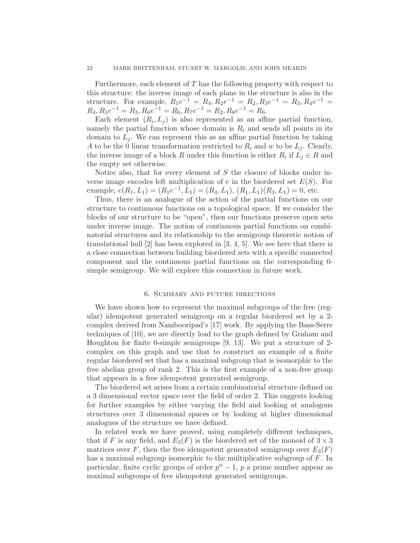### 22 MARK BRITTENHAM, STUART W. MARGOLIS, AND JOHN MEAKIN

Furthermore, each element of  $T$  has the following property with respect to this structure: the inverse image of each plane in the structure is also in the structure. For example,  $R_1e^{-1} = R_4, R_2e^{-1} = R_2, R_3e^{-1} = R_3, R_4e^{-1} =$  $R_4, R_5e^{-1} = R_3, R_6e^{-1} = R_6, R_7e^{-1} = R_2, R_8e^{-1} = R_6.$ 

Each element  $(R_i, L_j)$  is also represented as an affine partial function, namely the partial function whose domain is  $R_i$  and sends all points in its domain to  $L_i$ . We can represent this as an affine partial function by taking A to be the 0 linear transformation restricted to  $R_i$  and w to be  $L_j$ . Clearly, the inverse image of a block R under this function is either  $R_i$  if  $L_j \in R$  and the empty set otherwise.

Notice also, that for every element of  $S$  the closure of blocks under inverse image encodes left multiplication of e in the biordered set  $E(S)$ . For example,  $e(R_1, L_1) = (R_1e^{-1}, L_1) = (R_4, L_1), (R_1, L_1)(R_3, L_1) = 0$ , etc.

Thus, there is an analogue of the action of the partial functions on our structure to continuous functions on a topological space. If we consider the blocks of our structure to be "open", then our functions preserve open sets under inverse image. The notion of continuous partial functions on combinatorial structures and its relationship to the semigroup theoretic notion of translational hull  $[2]$  has been explored in  $[3, 4, 5]$ . We see here that there is a close connection between building biordered sets with a specific connected component and the continuous partial functions on the corresponding 0 simple semigroup. We will explore this connection in future work.

### 6. Summary and future directions

We have shown how to represent the maximal subgroups of the free (regular) idempotent generated semigroup on a regular biordered set by a 2 complex derived from Nambooripad's [17] work. By applying the Bass-Serre techniques of [10], we are directly lead to the graph defined by Graham and Houghton for finite 0-simple semigroups [9, 13]. We put a structure of 2 complex on this graph and use that to construct an example of a finite regular biordered set that has a maximal subgroup that is isomorphic to the free abelian group of rank 2. This is the first example of a non-free group that appears in a free idempotent generated semigroup.

The biordered set arises from a certain combinatorial structure defined on a 3 dimensional vector space over the field of order 2. This suggests looking for further examples by either varying the field and looking at analogous structures over 3 dimensional spaces or by looking at higher dimensional analogues of the structure we have defined.

In related work we have proved, using completely different techniques, that if F is any field, and  $E_3(F)$  is the biordered set of the monoid of  $3 \times 3$ matrices over F, then the free idempotent generated semigroup over  $E_3(F)$ has a maximal subgroup isomorphic to the multiplicative subgroup of F. In particular, finite cyclic groups of order  $p<sup>n</sup> - 1$ , p a prime number appear as maximal subgroups of free idempotent generated semigroups.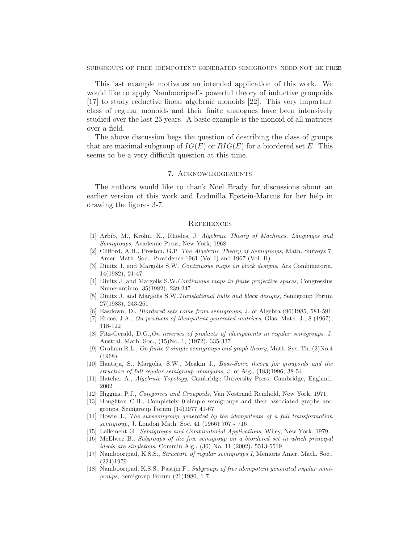This last example motivates an intended application of this work. We would like to apply Nambooripad's powerful theory of inductive groupoids [17] to study reductive linear algebraic monoids [22]. This very important class of regular monoids and their finite analogues have been intensively studied over the last 25 years. A basic example is the monoid of all matrices over a field.

The above discussion begs the question of describing the class of groups that are maximal subgroup of  $IG(E)$  or  $RIG(E)$  for a biordered set E. This seems to be a very difficult question at this time.

### 7. Acknowledgements

The authors would like to thank Noel Brady for discussions about an earlier version of this work and Ludmilla Epstein-Marcus for her help in drawing the figures 3-7.

#### **REFERENCES**

- [1] Arbib, M., Krohn, K., Rhodes, J. Algebraic Theory of Machines, Languages and Semigroups, Academic Press, New York, 1968
- [2] Clifford, A.H., Preston, G.P. The Algebraic Theory of Semigroups, Math. Surveys 7, Amer. Math. Soc., Providence 1961 (Vol I) and 1967 (Vol. II)
- [3] Dinitz J. and Margolis S.W. Continuous maps on block designs, Ars Combinatoria, 14(1982), 21-47
- [4] Dinitz J. and Margolis S.W.Continuous maps in finite projective spaces, Congressius Numerantium, 35(1982), 239-247
- [5] Dinitz J. and Margolis S.W.Translational hulls and block designs, Semigroup Forum 27(1983), 243-261
- [6] Easdown, D., Biordered sets come from semigroups, J. of Algebra (96)1985, 581-591
- [7] Erdos, J.A., On products of idempotent generated matrices, Glas. Math. J., 8 (1967), 118-122
- [8] Fitz-Gerald, D.G.,On inverses of products of idempotents in regular semigroups, J. Austral. Math. Soc., (15)No. 1, (1972), 335-337
- [9] Graham R.L., On finite 0-simple semigroups and graph theory, Math. Sys. Th.  $(2)$ No.4 (1968)
- [10] Haataja, S., Margolis, S.W., Meakin J., Bass-Serre theory for groupoids and the structure of full regular semigroup amalgams, J. of Alg., (183)1996, 38-54
- [11] Hatcher A., Algebraic Topology, Cambridge University Press, Cambridge, England, 2002
- [12] Higgins, P.J., Categories and Groupoids, Van Nostrand Reinhold, New York, 1971
- [13] Houghton C.H., Completely 0-simple semigroups and their associated graphs and groups, Semigroup Forum (14)1977 41-67
- [14] Howie J., The subsemigroup generated by the idempotents of a full transformation semigroup, J. London Math. Soc. 41 (1966) 707 - 716
- [15] Lallement G., Semigroups and Combinatorial Applications, Wiley, New York, 1979
- [16] McElwee B., Subgroups of the free semigroup on a biordered set in which principal ideals are singletons, Commin Alg., (30) No. 11 (2002), 5513-5519
- [17] Nambooripad, K.S.S., Structure of regular semigroups I, Memoris Amer. Math. Soc., (224)1979
- [18] Nambooripad, K.S.S., Pastijn F., Subgroups of free idempotent generated regular semigroups, Semigroup Forum (21)1980, 1-7